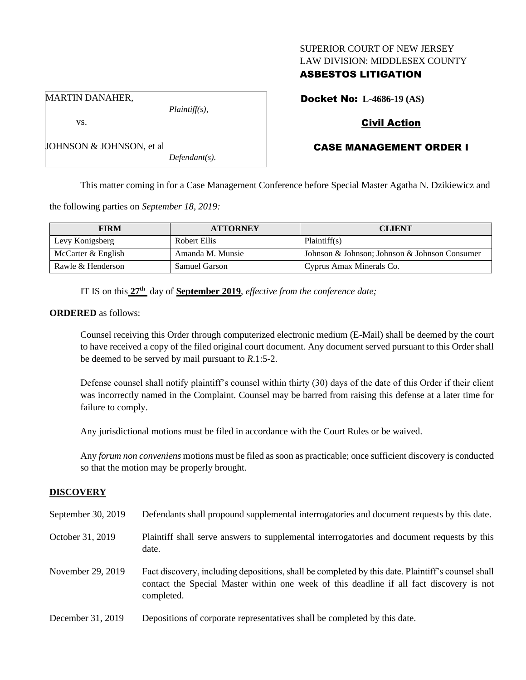### SUPERIOR COURT OF NEW JERSEY LAW DIVISION: MIDDLESEX COUNTY

## ASBESTOS LITIGATION

Docket No: **L-4686-19 (AS)**

MARTIN DANAHER,

vs.

*Plaintiff(s),*

# Civil Action

## CASE MANAGEMENT ORDER I

JOHNSON & JOHNSON, et al *Defendant(s).*

This matter coming in for a Case Management Conference before Special Master Agatha N. Dzikiewicz and

the following parties on *September 18, 2019:*

| <b>FIRM</b>          | <b>ATTORNEY</b>  | <b>CLIENT</b>                                 |
|----------------------|------------------|-----------------------------------------------|
| Levy Konigsberg      | Robert Ellis     | Plaintiff(s)                                  |
| McCarter $&$ English | Amanda M. Munsie | Johnson & Johnson; Johnson & Johnson Consumer |
| Rawle & Henderson    | Samuel Garson    | Cyprus Amax Minerals Co.                      |

IT IS on this **27th** day of **September 2019**, *effective from the conference date;*

**ORDERED** as follows:

Counsel receiving this Order through computerized electronic medium (E-Mail) shall be deemed by the court to have received a copy of the filed original court document. Any document served pursuant to this Order shall be deemed to be served by mail pursuant to *R*.1:5-2.

Defense counsel shall notify plaintiff's counsel within thirty (30) days of the date of this Order if their client was incorrectly named in the Complaint. Counsel may be barred from raising this defense at a later time for failure to comply.

Any jurisdictional motions must be filed in accordance with the Court Rules or be waived.

Any *forum non conveniens* motions must be filed as soon as practicable; once sufficient discovery is conducted so that the motion may be properly brought.

## **DISCOVERY**

| September 30, 2019 | Defendants shall propound supplemental interrogatories and document requests by this date.                                                                                                                  |
|--------------------|-------------------------------------------------------------------------------------------------------------------------------------------------------------------------------------------------------------|
| October 31, 2019   | Plaintiff shall serve answers to supplemental interrogatories and document requests by this<br>date.                                                                                                        |
| November 29, 2019  | Fact discovery, including depositions, shall be completed by this date. Plaintiff's counsel shall<br>contact the Special Master within one week of this deadline if all fact discovery is not<br>completed. |
| December 31, 2019  | Depositions of corporate representatives shall be completed by this date.                                                                                                                                   |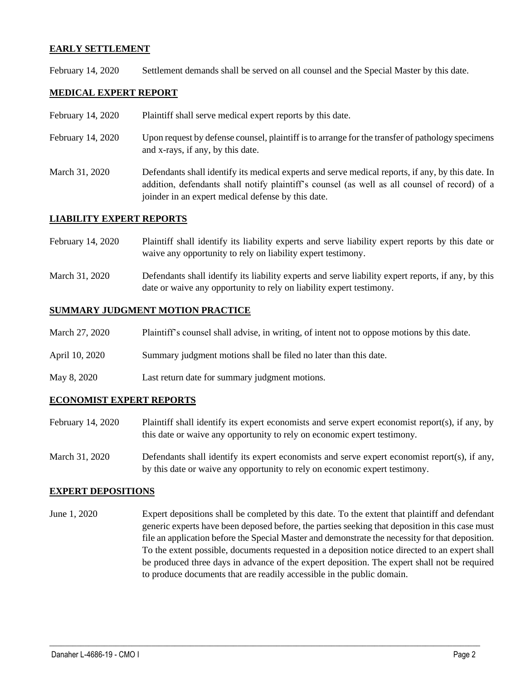### **EARLY SETTLEMENT**

February 14, 2020 Settlement demands shall be served on all counsel and the Special Master by this date.

### **MEDICAL EXPERT REPORT**

- February 14, 2020 Plaint if shall serve medical expert reports by this date.
- February 14, 2020 Upon request by defense counsel, plaintiff is to arrange for the transfer of pathology specimens and x-rays, if any, by this date.
- March 31, 2020 Defendants shall identify its medical experts and serve medical reports, if any, by this date. In addition, defendants shall notify plaintiff's counsel (as well as all counsel of record) of a joinder in an expert medical defense by this date.

### **LIABILITY EXPERT REPORTS**

- February 14, 2020 Plaintiff shall identify its liability experts and serve liability expert reports by this date or waive any opportunity to rely on liability expert testimony.
- March 31, 2020 Defendants shall identify its liability experts and serve liability expert reports, if any, by this date or waive any opportunity to rely on liability expert testimony.

#### **SUMMARY JUDGMENT MOTION PRACTICE**

| March 27, 2020 | Plaintiff's counsel shall advise, in writing, of intent not to oppose motions by this date. |  |  |  |
|----------------|---------------------------------------------------------------------------------------------|--|--|--|
|----------------|---------------------------------------------------------------------------------------------|--|--|--|

- April 10, 2020 Summary judgment motions shall be filed no later than this date.
- May 8, 2020 Last return date for summary judgment motions.

### **ECONOMIST EXPERT REPORTS**

- February 14, 2020 Plaintiff shall identify its expert economists and serve expert economist report(s), if any, by this date or waive any opportunity to rely on economic expert testimony.
- March 31, 2020 Defendants shall identify its expert economists and serve expert economist report(s), if any, by this date or waive any opportunity to rely on economic expert testimony.

### **EXPERT DEPOSITIONS**

June 1, 2020 Expert depositions shall be completed by this date. To the extent that plaintiff and defendant generic experts have been deposed before, the parties seeking that deposition in this case must file an application before the Special Master and demonstrate the necessity for that deposition. To the extent possible, documents requested in a deposition notice directed to an expert shall be produced three days in advance of the expert deposition. The expert shall not be required to produce documents that are readily accessible in the public domain.

 $\_$  , and the set of the set of the set of the set of the set of the set of the set of the set of the set of the set of the set of the set of the set of the set of the set of the set of the set of the set of the set of th